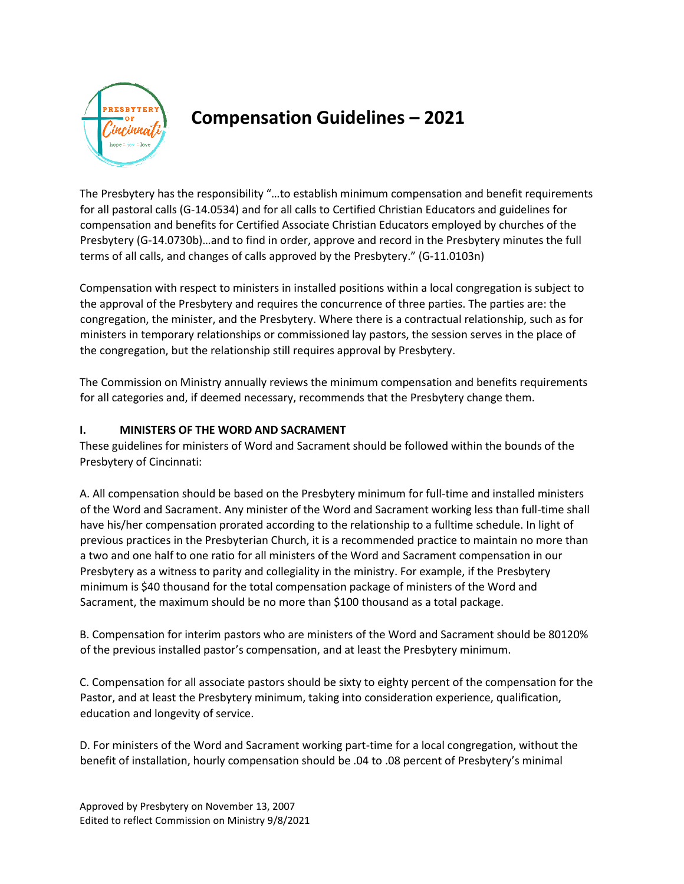

## **Compensation Guidelines – 2021**

The Presbytery has the responsibility "…to establish minimum compensation and benefit requirements for all pastoral calls (G-14.0534) and for all calls to Certified Christian Educators and guidelines for compensation and benefits for Certified Associate Christian Educators employed by churches of the Presbytery (G-14.0730b)…and to find in order, approve and record in the Presbytery minutes the full terms of all calls, and changes of calls approved by the Presbytery." (G-11.0103n)

Compensation with respect to ministers in installed positions within a local congregation is subject to the approval of the Presbytery and requires the concurrence of three parties. The parties are: the congregation, the minister, and the Presbytery. Where there is a contractual relationship, such as for ministers in temporary relationships or commissioned lay pastors, the session serves in the place of the congregation, but the relationship still requires approval by Presbytery.

The Commission on Ministry annually reviews the minimum compensation and benefits requirements for all categories and, if deemed necessary, recommends that the Presbytery change them.

## **I. MINISTERS OF THE WORD AND SACRAMENT**

These guidelines for ministers of Word and Sacrament should be followed within the bounds of the Presbytery of Cincinnati:

A. All compensation should be based on the Presbytery minimum for full-time and installed ministers of the Word and Sacrament. Any minister of the Word and Sacrament working less than full-time shall have his/her compensation prorated according to the relationship to a fulltime schedule. In light of previous practices in the Presbyterian Church, it is a recommended practice to maintain no more than a two and one half to one ratio for all ministers of the Word and Sacrament compensation in our Presbytery as a witness to parity and collegiality in the ministry. For example, if the Presbytery minimum is \$40 thousand for the total compensation package of ministers of the Word and Sacrament, the maximum should be no more than \$100 thousand as a total package.

B. Compensation for interim pastors who are ministers of the Word and Sacrament should be 80120% of the previous installed pastor's compensation, and at least the Presbytery minimum.

C. Compensation for all associate pastors should be sixty to eighty percent of the compensation for the Pastor, and at least the Presbytery minimum, taking into consideration experience, qualification, education and longevity of service.

D. For ministers of the Word and Sacrament working part-time for a local congregation, without the benefit of installation, hourly compensation should be .04 to .08 percent of Presbytery's minimal